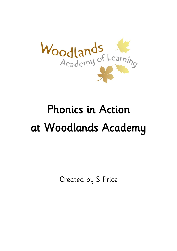

# Phonics in Action at Woodlands Academy

Created by S Price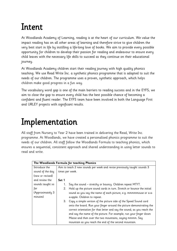## Intent

At Woodlands Academy of Learning, reading is at the heart of our curriculum. We value the impact reading has on all other areas of learning and therefore strive to give children the very best start in life by instilling a life-long love of books. We aim to provide every possible opportunity for children to develop their passion for reading and endeavour to ensure every child leaves with the necessary life skills to succeed as they continue on their educational journey.

At Woodlands Academy children start their reading journey with high quality phonics teaching. We use Read Write Inc. a synthetic phonics programme that is adapted to suit the needs of our children. The programme uses a proven, synthetic approach, which helps children make good progress in a fun way.

The vocabulary word gap is one of the main barriers to reading success and in the EYFS; we aim to close the gap to ensure every child has the best possible chance of becoming a confident and fluent reader. The EYFS team have been involved in both the Language First and URLEY projects with significant results.

## Implementation

All staff from Nursery to Year 2 have been trained in delivering the Read, Write Inc. programme. At Woodlands, we have created a personalised phonics programme to suit the needs of our children. All staff follow the Woodlands Formula to teaching phonics, which ensures a sequential, consistent approach and shared understanding in using letter sounds to read and write.

|                  | The Woodlands Formula for teaching Phonics |                                                                          |  |  |  |  |  |  |
|------------------|--------------------------------------------|--------------------------------------------------------------------------|--|--|--|--|--|--|
| Introduce the    |                                            | Aim to teach 2 new sounds per week and revise previously taught sounds 3 |  |  |  |  |  |  |
| sound of the day |                                            | times per week.                                                          |  |  |  |  |  |  |
| (new or revised) |                                            |                                                                          |  |  |  |  |  |  |
| and review the   | Set 1                                      |                                                                          |  |  |  |  |  |  |
| sounds taught so | 1.                                         | Say the sound – stretchy or bouncy. Children repeat MTYT.                |  |  |  |  |  |  |
| far              | 2.                                         | Hold up the picture sound cards in turn. Stretch or bounce the initial   |  |  |  |  |  |  |
| (Approximately 3 |                                            | sound as you say the name of each picture, e.g. mmmmmouse or a-a-        |  |  |  |  |  |  |
| minutes)         |                                            | a-apple. Children to repeat.                                             |  |  |  |  |  |  |
|                  | 3.                                         | Copy a simple version of the picture side of the Speed Sound card        |  |  |  |  |  |  |
|                  |                                            | onto the board. Run your finger around the picture demonstrating the     |  |  |  |  |  |  |
|                  |                                            | correct orientation for that letter and say the sound; as you reach the  |  |  |  |  |  |  |
|                  |                                            | end say the name of the picture. For example, run your finger down       |  |  |  |  |  |  |
|                  |                                            | Maisie and then over the two mountains, saying mmmm. Say                 |  |  |  |  |  |  |
|                  |                                            | mountain as you reach the end of the second mountain.                    |  |  |  |  |  |  |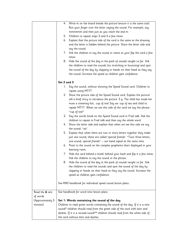|                  | 4.          | Write m on the board beside the picture (ensure it is the same size).                  |
|------------------|-------------|----------------------------------------------------------------------------------------|
|                  |             | Run your finger over the letter saying the sound. For example, say                     |
|                  |             | mmmmmm and then just as you reach the end m.                                           |
|                  | 5.          | Children to repeat steps 3 and 4 a few times.                                          |
|                  | 6.          | Explain that the picture side of the card is the same as the drawing                   |
|                  |             | and the letter is hidden behind the picture. Show the letter side and                  |
|                  |             |                                                                                        |
|                  |             | say the sound.                                                                         |
|                  | 7.          | Ask the children to say the sound or name as your flip the card a few                  |
|                  |             | times.                                                                                 |
|                  | 8.          | Hide the sound of the day in the pack of sounds taught so far. Ask                     |
|                  |             | the children to read the sounds (no stretching or bouncing) and spot                   |
|                  |             | the sound of the day by clapping or hands on their head as they say                    |
|                  |             | the sound. Increase the speed as children gain confidence.                             |
|                  |             |                                                                                        |
|                  | Set 2 and 3 |                                                                                        |
|                  | 1.          | Say the sound, without showing the Speed Sound card. Children to<br>repeat using MTYT. |
|                  | 2.          | Show the picture side of the Speed Sound card. Explain the picture/                    |
|                  |             | tell a brief story to introduce the picture. E.g. The child has made her               |
|                  |             | mum a steaming hot cup of tea! Say ea- cup of tea and child to                         |
|                  |             | repeat MTYT. When we see this side of the card we say the phrase                       |
|                  |             | "cup of tea!"                                                                          |
|                  | 3.          | Say the words listed on the Speed Sound card in Fred talk. Ask the                     |
|                  |             | children to repeat in Fred talk and then say the whole word.                           |
|                  | 4.          | Show the letter side and explain that when we see this side we say                     |
|                  |             | the sound: "ea".                                                                       |
|                  | 5.          | Explain that when there are two or more letters together they make                     |
|                  |             | just one sound; these are called 'special friends'. "Two/ three letters,               |
|                  |             |                                                                                        |
|                  |             | one sound, special friends" - use hand signal at the same time.                        |
|                  | 6.          | Point to the sound on the complex grapheme chart displayed in your                     |
|                  |             | learning room.                                                                         |
|                  | 7.          | Hide the card behind a book/ behind your back and flip it a few times.                 |
|                  |             | Ask the children to say the sound or the phrase.                                       |
|                  | 8.          | Hide the sound of the day in the pack of sounds taught so far. Ask                     |
|                  |             | the children to read the sounds and spot the sound of the day by                       |
|                  |             | clapping or hands on their head as they say the sound. Increase the                    |
|                  |             | speed as children gain confidence.                                                     |
|                  |             |                                                                                        |
|                  |             | See RWI handbook for individual speed sound lesson plans.                              |
| Read the 6 sets  |             | See handbook for word time lesson plans.                                               |
| of words         |             |                                                                                        |
| (Approximately 5 |             | Set 1: Words containing the sound of the day                                           |
| minutes)         |             | Children to read green words containing the sound of the day. If it is a new           |
|                  |             | sound* children should read from the green side of the card with dots and              |
|                  |             | dashes. If it is a revised sound** children should read from the white side of         |
|                  |             | the card without dots and dashes.                                                      |
|                  |             |                                                                                        |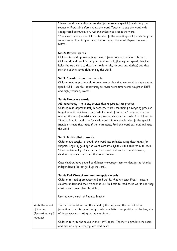|                  | * New sounds - ask children to identify the sound/ special friends. Say the          |
|------------------|--------------------------------------------------------------------------------------|
|                  |                                                                                      |
|                  | sounds in Fred talk before saying the word. Teacher to say the word with             |
|                  | exaggerated pronunciation. Ask the children to repeat the word.                      |
|                  | ** Revised sounds – ask children to identify the sound/ special friends. Say the     |
|                  | sounds using 'Fred in your head' before saying the word. Repeat the word             |
|                  | MTYT.                                                                                |
|                  |                                                                                      |
|                  | Set 2: Review words                                                                  |
|                  | Children to read approximately 6 words from previous set 2 or 3 lessons.             |
|                  |                                                                                      |
|                  | Children should use 'Fred in your head' to build fluency and speed. Teacher          |
|                  | holds the card close to their chest (white side, no dots and dashes) and they        |
|                  | stretch out their arms children say the word.                                        |
|                  |                                                                                      |
|                  | Set 3: Speedy/ slam down words                                                       |
|                  | Children read approximately 6 green words that they can read by sight and at         |
|                  | speed. (KS1 - use this opportunity to revise word time words taught in EYFS          |
|                  | and high frequency words)                                                            |
|                  |                                                                                      |
|                  | Set 4: Nonsense words                                                                |
|                  | AfL opportunity - note any sounds that require further practise.                     |
|                  | Children read approximately 6 nonsense words containing a range of previous          |
|                  | taught sounds. Children to say "what a load of nonsense" (only once before           |
|                  | reading this set of words) when they see an alien on the cards. Ask children to      |
|                  |                                                                                      |
|                  | "Spot it, Fred it, read it" - for each word children should identify the special     |
|                  | friends or shake their head if there are none, Fred the word out loud and read       |
|                  | the word.                                                                            |
|                  |                                                                                      |
|                  | Set 5: Multisyllabic words                                                           |
|                  | Children are taught to 'chunk' the word into syllables using their hands for         |
|                  | support. Begin by folding the word card into syllables and children read each        |
|                  | 'chunk' individually. Open up the word card to show the complete word,               |
|                  | children say each chunk and then read the word.                                      |
|                  |                                                                                      |
|                  | Once children have gained confidence encourage them to identify the 'chunks'         |
|                  | independently (do not fold up the card).                                             |
|                  |                                                                                      |
|                  | Set 6: Red Words/ common exception words                                             |
|                  | Children to read approximately 6 red words. "Red we can't Fred" - ensure             |
|                  | children understand that we cannot use Fred talk to read these words and they        |
|                  |                                                                                      |
|                  | must learn to read them by sight.                                                    |
|                  |                                                                                      |
|                  | Use red word cards or Phonics Tracker.                                               |
|                  |                                                                                      |
| Write the sound  | Teacher to model writing the sound of the day using the correct letter               |
| of the day       | formation. Use this opportunity to reinforce letter size, position on the line, size |
| (Approximately 3 | of finger spaces, starting by the margin etc.                                        |
| minutes)         |                                                                                      |
|                  | Children to write the sound in their RWI books. Teacher to circulate the room        |
|                  | and pick up any misconceptions (red pen!).                                           |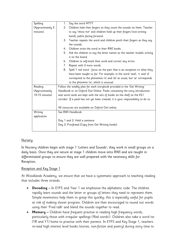| Spelling         | Say the word MTYT.<br>1.                                                          |  |
|------------------|-----------------------------------------------------------------------------------|--|
| (Approximately 5 | Children hide their fingers as they count the sounds on them. Teacher<br>2.       |  |
| minutes)         | to say "show me" and children hold up their fingers (non-writing                  |  |
|                  | hand), palms facing forward.                                                      |  |
|                  | Teacher repeats the word and children pinch their fingers as they say<br>3.       |  |
|                  | the sounds.                                                                       |  |
|                  | Children write the word in their RWI books.<br>4.                                 |  |
|                  | 5.<br>Ask the children to say the letter names as the teacher models writing      |  |
|                  | it on the board.                                                                  |  |
|                  | Children to self-mark their work and correct any errors.<br>6.                    |  |
|                  | Repeat with 3 more words.<br>7.                                                   |  |
|                  | 8.<br>Spell 1 red word - focus on the part that is an exception to what they      |  |
|                  | have been taught so far. For example, in the word 'said', 's' and 'd'             |  |
|                  | correspond to the phonemes /s/ and /d/ as usual, but 'ai' corresponds             |  |
|                  | to the phoneme /e/, which is unusual.                                             |  |
| Reading          | Follow the weekly plan for each storybook provided in the 'Get Writing'           |  |
| (Approximately   | Handbook or on Oxford Owl Online. Packs containing the story introduction         |  |
| 10-15 minutes)   | and word cards are kept with the sets of books on the shelf on the KS1            |  |
|                  | corridor. If a pack has not yet been created, it is your responsibility to do so. |  |
|                  |                                                                                   |  |
|                  | All resources are available on Oxford Owl online.                                 |  |
| Writing          | See RWI Handbook                                                                  |  |
| application      |                                                                                   |  |
|                  | Day 1 and 2: Hold a sentence                                                      |  |
|                  | Day 3: Proofread (Copy from Get Writing books)                                    |  |
|                  |                                                                                   |  |

### Nursery

In Nursery children begin with stage 1 'Letters and Sounds'; they work in small groups on a daily basis. Once they are secure at stage 1 children move onto RWI and are taught in differentiated groups to ensure they are well prepared with the necessary skills for Reception.

### Reception and Key Stage 1

At Woodlands Academy, we ensure that we have a systematic approach to teaching reading that includes three strands:

- **Decoding –** In EYFS and Year 1 we emphasise the alphabetic code. The children rapidly learn sounds and the letter or groups of letters they need to represent them. Simple mnemonics help them to grasp this quickly; this is especially useful for pupils at risk of making slower progress. Children are then encouraged to sound out words using their 'Fred talk' and blend the sounds together to read.
- **Memory –** Children have frequent practise in reading high frequency words, particularly those with irregular spellings ('Red words'). Children also take a word tin (YR and Y1) home to practise with their parents. In EYFS and Key Stage 1, teachers re-read high interest level books (stories, non-fiction and poetry) during story time to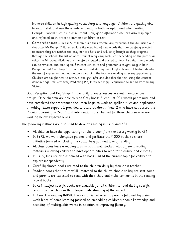immerse children in high quality vocabulary and language. Children are quickly able to read, retell and use these independently in both role-play and when writing. Everyday words such as, please, thank you, good afternoon etc. are also displayed and referred to in order to immerse children in text.

**Comprehension –** In EYFS, children build their vocabulary throughout the day using our character Mr Bump. Children explore the meaning of new words that are carefully selected to ensure they are neither too easy nor too hard and will be of benefit as they progress through the school. The list of words taught may vary each year depending on the particular cohort; a Mr Bump dictionary is therefore created and passed to Year 1 so that these words can be revisited and built upon. Sentence structure and grammar is taught daily in both Reception and Key Stage 1 through a lead text during daily English lessons. Children develop the use of expression and intonation by echoing the teachers reading at every opportunity. Children are taught how to retrieve, analyse, infer and decipher the text using the content domain dogs: Rex Retriever, Predicting Pip, Inference Iggy, Sequencing Suki and Vocabulary Victor.

Both Reception and Key Stage 1 have daily phonics lessons in small, homogenous groups. Once children are able to read Grey books fluently at 90+ words per minute and have completed the programme they then begin to work on spelling rules and application in writing. Extra support is provided to those children in Year 2 who have not passed the Phonics Screening in Year 1 and interventions are planned for those children who are working below expected levels.

The following methods are also used to develop reading in EYFS and KS1:

- All children have the opportunity to take a book from the library weekly in KS1
- In EYFS, we work alongside parents and facilitate the '1000 books to share' initiative focused on closing the vocabulary gap and love of reading
- All classrooms have a reading area which is well stocked with different reading materials allowing children to have opportunities to read for pleasure and curiosity
- In EYFS, labs are also enhanced with books linked the current topic for children to explore independently
- Carefully chosen books are read to the children daily by their class teacher
- Reading books that are carefully matched to the child's phonic ability are sent home and parents are expected to read with their child and make comments in the reading record books
- In KS1, subject specific books are available for all children to read during specific lessons to give children that deeper understanding of the subject
- In Year 1, a reading IMPACT workshop is delivered to parents followed by a sixweek block of home learning focused on embedding children's phonic knowledge and decoding of multisyllabic words in addition to improving fluency.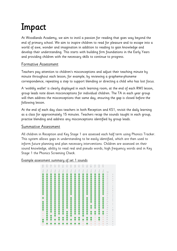## Impact

At Woodlands Academy, we aim to instil a passion for reading that goes way beyond the end of primary school. We aim to inspire children to read for pleasure and to escape into a world of awe, wonder and imagination in addition to reading to gain knowledge and develop their understanding. This starts with building firm foundations in the Early Years and providing children with the necessary skills to continue to progress.

### Formative Assessment

Teachers pay attention to children's misconceptions and adjust their teaching minute by minute throughout each lesson; for example, by reviewing a grapheme-phoneme correspondence, repeating a step to support blending or directing a child who has lost focus.

A 'wobbly wallet' is clearly displayed in each learning room; at the end of each RWI lesson, group leads note down misconceptions for individual children. The TA in each year group will then address the misconceptions that same day, ensuring the gap is closed before the following lesson.

At the end of each day class teachers in both Reception and KS1, revisit the daily learning as a class for approximately 15 minutes. Teachers recap the sounds taught in each group, practise blending and address any misconceptions identified by group leads.

### Summative Assessment

All children in Reception and Key Stage 1 are assessed each half term using Phonics Tracker. This system allows gaps in understanding to be easily identified, which are then used to inform future planning and plan necessary interventions. Children are assessed on their sound knowledge, ability to read real and pseudo words, high frequency words and in Key Stage 1 the Phonics Screening Check.

#### Example assessment summary of set 1 sounds

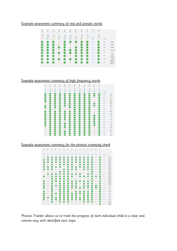### Example assessment summary of real and pseudo words

| Rosie        | Ayla C                | ñ.<br>Viia   | Chant        | Riley <sup>s</sup> | Isabel       | Eloise                   | Harley       | Tallula      | Ava W        | lvy Yo       |       |                   |
|--------------|-----------------------|--------------|--------------|--------------------|--------------|--------------------------|--------------|--------------|--------------|--------------|-------|-------------------|
| $\odot$ 100% | 100%<br>$\mathcal{A}$ | 100%<br>⊳    | 38%<br>Н     | $100\%$<br>Н       | 50%<br>G     | 88%<br>Э                 | 100%<br>Н    | 100%<br>☞    | $\circ$<br>T | 100%<br>ِ    | Total |                   |
| $\checkmark$ | $\checkmark$          | $\checkmark$ | ō            |                    | $\checkmark$ | $\overline{\mathscr{L}}$ | ✓            | $\checkmark$ | a            | $\checkmark$ | 70%   | start             |
| V            | $\checkmark$          | $\checkmark$ |              | ✓                  | O            | Ō                        | $\checkmark$ | ್            | ø            | $\checkmark$ | 63%   | horse             |
|              | ✓                     |              | ✓            |                    |              |                          | $\checkmark$ | $\checkmark$ | ø            | $\checkmark$ | 70%   | stair             |
|              |                       |              |              |                    |              |                          | ✓            |              | ø            | $\checkmark$ | 67%   | house             |
|              |                       |              |              |                    | $\checkmark$ |                          | $\checkmark$ |              |              |              | 77%   | boy               |
|              |                       |              |              |                    | ø            |                          |              |              |              |              | 67%   | norf<br>(pseudo)  |
|              |                       |              | $\checkmark$ |                    |              |                          |              |              |              | $\checkmark$ | 73%   | oug<br>(pseudo)   |
|              |                       |              |              | ್                  | ø            | $\checkmark$             | $\checkmark$ | ▽            | ø            | $\checkmark$ | 67%   | thoun<br>(pseudo) |

### Example assessment summary of high frequency words

| Ę                | R <sub>03</sub> | 릋                      | ŝ            | 홍           | 畫           | ŝâ           | ã         | 훞            | 뤌            | Ava <sup>'</sup> | ζ            |            |      |
|------------------|-----------------|------------------------|--------------|-------------|-------------|--------------|-----------|--------------|--------------|------------------|--------------|------------|------|
| (9)63%           | $\odot$ 100%    | $\odot$ <sub>96%</sub> | $\odot$ 100% | $\odot$ 79% | $\odot$ 96% | $\odot$ 100% | $③$ 100%  | $\odot$ 100% | $\odot$ 100% | O42%             | $\odot$ 100% | Total      |      |
| Ø                | ◙               | ◙                      | ◙            | ◉           | ◙           | ◙            | ◙         | ◙            | ◙            | ◙                | Ø            | 93%        | will |
| Ø                | ◙               | ◙                      | ◎            | ●           | ◙           | ◎            | €         | ◙            | Ø            | ◎                | Ø            | <b>DON</b> | that |
| Ø                | ◙               | ◙                      | $\bullet$    | ◙           | ◙           | ◙            | ◙         | ◙            | ◙            | $\circ$          | Ø            | 83%        | this |
| 0                | $\bullet$       | $\bullet$              | $\bullet$    | $\bullet$   | $\bullet$   | ◎            | $\bullet$ | $\bullet$    | ◙            | $\bullet$        | Ø            | 87%        | then |
| Ø                | ◙               | ◙                      | ◎            | ◉           | ◙           | ◎            | $\bullet$ | ◉            | ◙            | $\circ$          | Ø            | 87%        | them |
| $\circ$          | ◙               | ◙                      | ◎            | ◙           | ◙           | ◙            | ◙         | ◙            | ◙            | Ø                | ◙            | 80%        | with |
| Ø                | ◙               | ◙                      | ◙            | ●           | ◙           | ◙            | $\bullet$ | ◙            | Ø            | ◙                | Ø            | 93%        | 500  |
| Ø                | ◙               | ◙                      | ◎            | $\bullet$   | $\bullet$   | ◙            | $\bullet$ | $\bullet$    | ◙            | $\circ$          | Ø            | 22%        | for  |
| $\ddot{\circ}$   | ◙               | $\circ$                | ◙            | $\circ$     | $\circ$     | ◙            | ◙         | ◙            | Ø            | $\circ$          | Ø            | 63%        | now  |
| Ø                | ◙               | ◙                      | ◙            | Ø           | ◙           | ◙            | ◙         | ◙            | ◙            | $\circ$          | Ø            | 73%        | down |
| Ø                | ◙               | ◙                      | ◎            | €           | Ø           | ◙            | €         | ◙            | ◙            | $\circ$          | Ø            | 83%        | look |
| 8                | ◙               | ◙                      | ◎            | ◙           | ◙           | ◙            | ◎         | ◙            | Ø            | ◙                | Ø            | 90%        | too  |
|                  | ◙               | ◙                      | ◎            | ●           | ◙           | ◙            | ◎         | ◎            | ◙            | ◙                | ◙            | 90%        | he   |
| Ō                | ◙               | ◙                      | ◎            | ◉           | ◙           | ◙            | €         | ◙            | ◙            | ◎                | Ø            | 87%        | she  |
| Ø                | ◙               | ◙                      | $\bullet$    | $\circ$     | ◙           | ◙            | ◙         | ◙            | ◎            | ◙                | ◙            | 83%        | we   |
| Ø                | ◙               | ◎                      | ◎            | $\bullet$   | ◎           | ●            | ◎         | $\bullet$    | Ø            | ◎                | Ø            | 87%        | me   |
| Ø                | ◙               | $\bullet$              | ◎            | $\bullet$   | ◙           | ◙            | ◎         | ◙            | ◙            | $\bullet$        | Ø            | 83%        | be   |
| $\bullet$        | ◙               | ◙                      | ◙            | ◙           | ◙           | ◙            | ◎         | ◙            | ◙            | $\circ$          | Ø            | 77%        | was  |
| $\bullet$        | ◙               | ◙                      | ◙            | $\bullet$   | ◙           | ◙            | ◙         | ◉            | ◙            | $\circ$          | ◙            | SON.       | you  |
|                  | ◙               | ◙                      | ◎            | ◙           | ◙           | ◙            | ◎         | ◙            | Ø            | $\circ$          | Ø            | 23%        | they |
| $\ddot{\bullet}$ | ◙               | ◙                      | $\bullet$    | ◙           | $\bullet$   | ◙            | Ø         | ◙            | Ø            | $\circ$          | Ø            | 77%        | all  |
| ö                | Ø               | Ø                      | Ø            | Ø           | Ø           | Ø            | Ø         | Ø            | O            | ō                | Ø            | 77%        | are  |

### Example assessment summary for the phonics screening check

| Popp       | Riley              | \$aak        | Amel    | Rosia                 | Ayla                 | š            | Chan                | Riley        | <b>Isab</b>  | die in         | Harls               | Ē                     | Ava <sup>-</sup> | ivy Yu       |            |                               |
|------------|--------------------|--------------|---------|-----------------------|----------------------|--------------|---------------------|--------------|--------------|----------------|---------------------|-----------------------|------------------|--------------|------------|-------------------------------|
| $\odot$ 23 | b.<br>Ò            | $28$<br>Õ    | ÷<br>Ò  | $\odot$ <sub>34</sub> | $\overline{27}$<br>⊚ | $rac{36}{2}$ | $\mathbb{S}^2$<br>® | 26<br>⊚      | Þ<br>Ò       | $\frac{33}{2}$ | $\overline{c}$<br>ি | $\overline{\odot}$ 33 | S<br>Č           | ą<br>ි       | Total      |                               |
| $\circ$    | C                  | ☞            | C       | (√                    |                      | $\checkmark$ | V                   | V            |              |                | $\checkmark$        | V                     | $\circ$          | C            | <b>BON</b> | fip<br>(pseudo)               |
| O          | U                  | C            | C       | Ø                     | Ø                    | $\checkmark$ | V                   | V            | U            | [✓             | [V                  | .<br>V                | ٥                | C            | 00%        | pon<br>(pseudo)               |
| Ø          | Ø                  | C            | U       | U                     | ✓                    | ✓            |                     | ◡            |              |                | ✓                   |                       | ø                | r.           | 99%        | hab<br>(pseudo)               |
| Ø          | $\circ$            | C            | O       | Ø                     | $\checkmark$         | ✓            | ✓                   | ø            |              |                |                     |                       | ø                | U            | 70%        | ulb<br>(pseudo)               |
| Ø          | $\checkmark$       | $\checkmark$ | Ø       | Ø                     | Ō                    | $\checkmark$ |                     | $\checkmark$ | ✓            |                |                     |                       | Ō                | $\checkmark$ | 80%        | dack<br>(pseudo)              |
| O          | $\checkmark$       | (V           | O       | $\circ$               | V                    | $\checkmark$ | ✓                   | V            | O            |                | ✓                   |                       | $\circ$          | V            | 73%        | chob<br>(pseudo)              |
| $\circ$    | $\circ$            | ø            | G       | C.                    | C.                   | Ø            | $\circ$             | ø            | Ō            | $\circ$        | $\circ$             | ✓                     | $\circ$          |              | 40%        | nurt<br>(pseudo)              |
| $\circ$    | ✓                  | ✓            | lv.     | V                     | ◡                    | ◡            | $\checkmark$        | ◡            | ◡            | G              | $\checkmark$        |                       | ٥                | ▽            | 72%        | queet<br>(pseudo)             |
| [v         | Ō                  | [✓           | U       | Ø                     | Ø                    | $\checkmark$ | C                   | ø            | $\checkmark$ | lv.            | ✓                   |                       | C                | C.           | 00%        | plap<br>(pseudo)              |
| $\circ$    | ø                  | ۰            | ۰       | ۰                     | U                    | Ø            | ō                   | Ō            | $\circ$      | $\circ$        | $\circ$             | $\checkmark$          | ø                | 'v           | 50%        | froin<br>(pseudo)             |
| r.         | O                  | (V           | Ø       | [✓                    | V                    | ✓            | ▽                   |              | [v           |                |                     |                       | $\circ$          | 's           | 77%        | melp<br>(pseudo)              |
| Ø          | $\circ$            | Ø            | $\circ$ | Ø                     | Ø                    | V            | V                   | Ø            | O            | $\checkmark$   | V                   | ✓                     | ø                |              | 70%        | heent<br>(pseudo)             |
| Ø          | $\circ$            | C            | Ø       | Ø                     | Ø                    | Ø            | C                   | C            | Ō            | M              | [V                  | $\checkmark$          | C                | o.           | 83%        | shed                          |
| O          | ø                  | Ø            | O       | Ø                     | Ø                    | Ø            | O                   | Ø            | [V           | (√             | [√                  | .U                    | ⊘                | $\checkmark$ | 83%        | long                          |
| $\circ$    | ø                  | V            | Ō       | Ø                     | Ø                    | C            | $\circ$             | ō            | Ō            | $\circ$        | $\circ$             | .<br>V                | $\circ$          |              | 42%        | soil                          |
| (V         | Ō                  | U            | $\circ$ | Ø                     | Ø                    | Ø            | $\circ$             | Ø            | U            | V              | [√                  | V                     | $\circ$          | ▽            | 63%        | chart                         |
| Ø<br>Ø     | $\circ$<br>$\circ$ | (V           | Ø<br>Ō  | Ø                     | Ø                    | Ø            | ⊘                   | $\checkmark$ | [V<br>Ō      | [V<br>U        | [✓                  | $\checkmark$<br>U     | Ō<br>$\circ$     | ್            | 83%<br>77% | crab                          |
|            |                    | Ø            |         | Ø                     | Ø                    | Ø            | C                   | C            |              |                | C                   |                       | Ō                | 'V<br>r.     | 87%        | fresh                         |
| Ø<br>Ø     | (✓<br>O            | U<br>Ø       | Ø<br>Ø  | Ø<br>۰                | Ø<br>Ø               | Ø<br>U       | O<br>U              | Į.<br>U      | M<br>U       | V<br>۰         | [√                  | V                     | $\circ$          | 's           | 73%        | wink<br>shuts                 |
| $\circ$    |                    |              | Ō       |                       |                      |              | $\circ$             | Ō            | Ō            |                |                     |                       |                  |              | 43%        | yair                          |
| $\circ$    | O<br>ø             | U<br>ø       | G       | l v<br>$\circ$        | ◡<br>$\circ$         | ▽<br>ø       | ø                   | ø            | G            | ۰<br>$\circ$   | V<br>$\circ$        | V<br>$\circ$          | ø<br>ø           | C            | 12%        | (pseudo)<br>blies<br>(pseudo) |

Phonics Tracker allows us to track the progress of each individual child in a clear and concise way with identified next steps.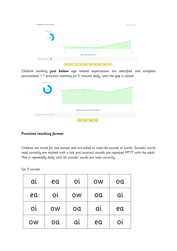| <b>Phoneme Results by Phase</b> |                                                                            | RWI Phonemes Set 3 |
|---------------------------------|----------------------------------------------------------------------------|--------------------|
| <b>Current Total</b><br>41      | 100<br>80<br>60                                                            |                    |
|                                 | 40<br>20<br>$\theta$                                                       |                    |
|                                 | 1936019<br>2100119<br><b>RWI Phonemes Set 3</b>                            | 02Dec 19           |
| RWI Phonemes Set 3 Gaps         |                                                                            |                    |
|                                 | ire<br>$u_{\perp}e$<br>ure<br>$a_e$<br>i_e<br>are<br>ew<br>ea<br>aw<br>ear |                    |

Children working **just below** age related expectations are identified and complete personalised 1:1 precision teaching for 5 minutes daily, until the gap is closed.



### **Precision teaching format**

Children are timed for one minute and are asked to read the sounds or words. Sounds/ words read correctly are marked with a tick and incorrect sounds are repeated MTYT with the adult. This is repeatedly daily until all sounds/ words are read correctly.

Set 3 sounds

| $\overline{\mathbf{a}}$ | ea       | O <sub>L</sub> | OW | oa |
|-------------------------|----------|----------------|----|----|
| ea                      | Ol       | OW             | oa | αί |
| Ol                      | oa<br>OW |                | al | ea |
| OW                      | oa       | αι             | ea | Οĺ |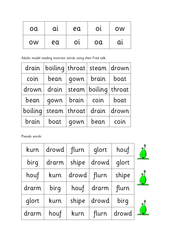| oa | αι | ea        | OL | <b>OW</b> |
|----|----|-----------|----|-----------|
| OW | ea | <b>Ol</b> | oa |           |

Adults model reading incorrect words using their Fred talk.

| drain   |       |        | boiling   throat   steam   drown |       |  |
|---------|-------|--------|----------------------------------|-------|--|
| coin    | bean  | qown   | brain                            | boat  |  |
| drown   | drain |        | steam   boiling   throat         |       |  |
| bean    | qown  | brain  | coin                             | boat  |  |
| boiling | steam | throat | drain                            | drown |  |
| brain   | boat  | qown   | bean                             | coin  |  |

Pseudo words

| kurn  | drowd flurn |               | glort          | houf  |           |
|-------|-------------|---------------|----------------|-------|-----------|
| birg  | drarm       | shipe         | drowd          | glort |           |
| houf  | kurn        | drowd   flurn |                | shipe | $\bullet$ |
| drarm | birg        |               | houf $ $ drarm | flurn |           |
| glort | kurn        | shipe         | drowd          | birg  | ●         |
| drarm | houf        | kurn          | flurn          | drowd |           |





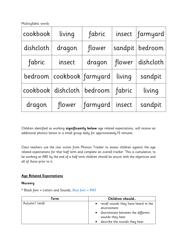Multisyllabic words

| cookbook  | living                        | fabric   |         | insect   farmyard |
|-----------|-------------------------------|----------|---------|-------------------|
| dishcloth | dragon                        | flower   | sandpit | bedroom           |
| fabric    | insect                        | dragon   | flower  | dishcloth         |
|           | bedroom   cookbook   farmyard |          | living  | sandpit           |
|           | cookbook dishcloth            | bedroom  | fabric  | living            |
| dragon    | flower                        | farmyard | insect  | sandpit           |

Children identified as working **significantly below** age related expectations, will receive an additional phonics lesson in a small group daily for approximately15 minutes.

Class teachers use the raw scores from Phonics Tracker to assess children against the age related expectations for that half term and complete an overall tracker. This is cumulative; to be working at ARE by the end of a half term children should be secure with the objectives and all of those prior to it.

### **Age Related Expectations**

### **Nursery**

\* Black font = Letters and Sounds, Blue font = RWI

| <b>Term</b>   | Children should                                                                           |
|---------------|-------------------------------------------------------------------------------------------|
| Autumn1 (end) | • recall sounds they have heard in the<br>environment                                     |
|               | • discriminate between the different<br>sounds they hear<br>describe the sounds they hear |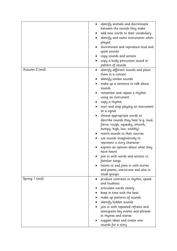| identify animals and discriminate<br>between the sounds they make<br>add new words to their vocabulary<br>identify and name instruments when<br>played<br>discriminate and reproduce loud and<br>quiet sounds<br>copy sounds and actions<br>copy a body percussion sound or<br>pattern of sounds<br>Autumn 2 (end)<br>identify different sounds and place<br>them in a context<br>identify similar sounds<br>make up a sentence to talk about<br>sounds<br>remember and repeat a rhythm<br>using an instrument<br>copy a rhythm<br>start and stop playing an instrument<br>at a signal<br>choose appropriate words to<br>describe sounds they hear (e.g. loud,<br>fierce, rough, squeaky, smooth,<br>bumpy, high, low, wobbly)<br>match sounds to their sources<br>use sounds imaginatively to<br>represent a story character<br>express an opinion about what they<br>have heard<br>join in with words and actions to<br>familiar songs<br>listens to and joins in with stories<br>and poems, one-to-one and also in<br>small groups<br>Spring 1 (end)<br>produce contrasts in rhythm, speed<br>and loudness<br>articulate words clearly<br>keep in time with the beat<br>make up patterns of sounds<br>identify hidden sounds<br>join in with repeated refrains and<br>anticipates key events and phrases<br>in rhymes and stories<br>suggest ideas and create new<br>sounds for a story |  |
|--------------------------------------------------------------------------------------------------------------------------------------------------------------------------------------------------------------------------------------------------------------------------------------------------------------------------------------------------------------------------------------------------------------------------------------------------------------------------------------------------------------------------------------------------------------------------------------------------------------------------------------------------------------------------------------------------------------------------------------------------------------------------------------------------------------------------------------------------------------------------------------------------------------------------------------------------------------------------------------------------------------------------------------------------------------------------------------------------------------------------------------------------------------------------------------------------------------------------------------------------------------------------------------------------------------------------------------------------------------------------------------------|--|
|                                                                                                                                                                                                                                                                                                                                                                                                                                                                                                                                                                                                                                                                                                                                                                                                                                                                                                                                                                                                                                                                                                                                                                                                                                                                                                                                                                                            |  |
|                                                                                                                                                                                                                                                                                                                                                                                                                                                                                                                                                                                                                                                                                                                                                                                                                                                                                                                                                                                                                                                                                                                                                                                                                                                                                                                                                                                            |  |
|                                                                                                                                                                                                                                                                                                                                                                                                                                                                                                                                                                                                                                                                                                                                                                                                                                                                                                                                                                                                                                                                                                                                                                                                                                                                                                                                                                                            |  |
|                                                                                                                                                                                                                                                                                                                                                                                                                                                                                                                                                                                                                                                                                                                                                                                                                                                                                                                                                                                                                                                                                                                                                                                                                                                                                                                                                                                            |  |
|                                                                                                                                                                                                                                                                                                                                                                                                                                                                                                                                                                                                                                                                                                                                                                                                                                                                                                                                                                                                                                                                                                                                                                                                                                                                                                                                                                                            |  |
|                                                                                                                                                                                                                                                                                                                                                                                                                                                                                                                                                                                                                                                                                                                                                                                                                                                                                                                                                                                                                                                                                                                                                                                                                                                                                                                                                                                            |  |
|                                                                                                                                                                                                                                                                                                                                                                                                                                                                                                                                                                                                                                                                                                                                                                                                                                                                                                                                                                                                                                                                                                                                                                                                                                                                                                                                                                                            |  |
|                                                                                                                                                                                                                                                                                                                                                                                                                                                                                                                                                                                                                                                                                                                                                                                                                                                                                                                                                                                                                                                                                                                                                                                                                                                                                                                                                                                            |  |
|                                                                                                                                                                                                                                                                                                                                                                                                                                                                                                                                                                                                                                                                                                                                                                                                                                                                                                                                                                                                                                                                                                                                                                                                                                                                                                                                                                                            |  |
|                                                                                                                                                                                                                                                                                                                                                                                                                                                                                                                                                                                                                                                                                                                                                                                                                                                                                                                                                                                                                                                                                                                                                                                                                                                                                                                                                                                            |  |
|                                                                                                                                                                                                                                                                                                                                                                                                                                                                                                                                                                                                                                                                                                                                                                                                                                                                                                                                                                                                                                                                                                                                                                                                                                                                                                                                                                                            |  |
|                                                                                                                                                                                                                                                                                                                                                                                                                                                                                                                                                                                                                                                                                                                                                                                                                                                                                                                                                                                                                                                                                                                                                                                                                                                                                                                                                                                            |  |
|                                                                                                                                                                                                                                                                                                                                                                                                                                                                                                                                                                                                                                                                                                                                                                                                                                                                                                                                                                                                                                                                                                                                                                                                                                                                                                                                                                                            |  |
|                                                                                                                                                                                                                                                                                                                                                                                                                                                                                                                                                                                                                                                                                                                                                                                                                                                                                                                                                                                                                                                                                                                                                                                                                                                                                                                                                                                            |  |
|                                                                                                                                                                                                                                                                                                                                                                                                                                                                                                                                                                                                                                                                                                                                                                                                                                                                                                                                                                                                                                                                                                                                                                                                                                                                                                                                                                                            |  |
|                                                                                                                                                                                                                                                                                                                                                                                                                                                                                                                                                                                                                                                                                                                                                                                                                                                                                                                                                                                                                                                                                                                                                                                                                                                                                                                                                                                            |  |
|                                                                                                                                                                                                                                                                                                                                                                                                                                                                                                                                                                                                                                                                                                                                                                                                                                                                                                                                                                                                                                                                                                                                                                                                                                                                                                                                                                                            |  |
|                                                                                                                                                                                                                                                                                                                                                                                                                                                                                                                                                                                                                                                                                                                                                                                                                                                                                                                                                                                                                                                                                                                                                                                                                                                                                                                                                                                            |  |
|                                                                                                                                                                                                                                                                                                                                                                                                                                                                                                                                                                                                                                                                                                                                                                                                                                                                                                                                                                                                                                                                                                                                                                                                                                                                                                                                                                                            |  |
|                                                                                                                                                                                                                                                                                                                                                                                                                                                                                                                                                                                                                                                                                                                                                                                                                                                                                                                                                                                                                                                                                                                                                                                                                                                                                                                                                                                            |  |
|                                                                                                                                                                                                                                                                                                                                                                                                                                                                                                                                                                                                                                                                                                                                                                                                                                                                                                                                                                                                                                                                                                                                                                                                                                                                                                                                                                                            |  |
|                                                                                                                                                                                                                                                                                                                                                                                                                                                                                                                                                                                                                                                                                                                                                                                                                                                                                                                                                                                                                                                                                                                                                                                                                                                                                                                                                                                            |  |
|                                                                                                                                                                                                                                                                                                                                                                                                                                                                                                                                                                                                                                                                                                                                                                                                                                                                                                                                                                                                                                                                                                                                                                                                                                                                                                                                                                                            |  |
|                                                                                                                                                                                                                                                                                                                                                                                                                                                                                                                                                                                                                                                                                                                                                                                                                                                                                                                                                                                                                                                                                                                                                                                                                                                                                                                                                                                            |  |
|                                                                                                                                                                                                                                                                                                                                                                                                                                                                                                                                                                                                                                                                                                                                                                                                                                                                                                                                                                                                                                                                                                                                                                                                                                                                                                                                                                                            |  |
|                                                                                                                                                                                                                                                                                                                                                                                                                                                                                                                                                                                                                                                                                                                                                                                                                                                                                                                                                                                                                                                                                                                                                                                                                                                                                                                                                                                            |  |
|                                                                                                                                                                                                                                                                                                                                                                                                                                                                                                                                                                                                                                                                                                                                                                                                                                                                                                                                                                                                                                                                                                                                                                                                                                                                                                                                                                                            |  |
|                                                                                                                                                                                                                                                                                                                                                                                                                                                                                                                                                                                                                                                                                                                                                                                                                                                                                                                                                                                                                                                                                                                                                                                                                                                                                                                                                                                            |  |
|                                                                                                                                                                                                                                                                                                                                                                                                                                                                                                                                                                                                                                                                                                                                                                                                                                                                                                                                                                                                                                                                                                                                                                                                                                                                                                                                                                                            |  |
|                                                                                                                                                                                                                                                                                                                                                                                                                                                                                                                                                                                                                                                                                                                                                                                                                                                                                                                                                                                                                                                                                                                                                                                                                                                                                                                                                                                            |  |
|                                                                                                                                                                                                                                                                                                                                                                                                                                                                                                                                                                                                                                                                                                                                                                                                                                                                                                                                                                                                                                                                                                                                                                                                                                                                                                                                                                                            |  |
|                                                                                                                                                                                                                                                                                                                                                                                                                                                                                                                                                                                                                                                                                                                                                                                                                                                                                                                                                                                                                                                                                                                                                                                                                                                                                                                                                                                            |  |
|                                                                                                                                                                                                                                                                                                                                                                                                                                                                                                                                                                                                                                                                                                                                                                                                                                                                                                                                                                                                                                                                                                                                                                                                                                                                                                                                                                                            |  |
|                                                                                                                                                                                                                                                                                                                                                                                                                                                                                                                                                                                                                                                                                                                                                                                                                                                                                                                                                                                                                                                                                                                                                                                                                                                                                                                                                                                            |  |
|                                                                                                                                                                                                                                                                                                                                                                                                                                                                                                                                                                                                                                                                                                                                                                                                                                                                                                                                                                                                                                                                                                                                                                                                                                                                                                                                                                                            |  |
|                                                                                                                                                                                                                                                                                                                                                                                                                                                                                                                                                                                                                                                                                                                                                                                                                                                                                                                                                                                                                                                                                                                                                                                                                                                                                                                                                                                            |  |
|                                                                                                                                                                                                                                                                                                                                                                                                                                                                                                                                                                                                                                                                                                                                                                                                                                                                                                                                                                                                                                                                                                                                                                                                                                                                                                                                                                                            |  |
|                                                                                                                                                                                                                                                                                                                                                                                                                                                                                                                                                                                                                                                                                                                                                                                                                                                                                                                                                                                                                                                                                                                                                                                                                                                                                                                                                                                            |  |
|                                                                                                                                                                                                                                                                                                                                                                                                                                                                                                                                                                                                                                                                                                                                                                                                                                                                                                                                                                                                                                                                                                                                                                                                                                                                                                                                                                                            |  |
|                                                                                                                                                                                                                                                                                                                                                                                                                                                                                                                                                                                                                                                                                                                                                                                                                                                                                                                                                                                                                                                                                                                                                                                                                                                                                                                                                                                            |  |
|                                                                                                                                                                                                                                                                                                                                                                                                                                                                                                                                                                                                                                                                                                                                                                                                                                                                                                                                                                                                                                                                                                                                                                                                                                                                                                                                                                                            |  |
|                                                                                                                                                                                                                                                                                                                                                                                                                                                                                                                                                                                                                                                                                                                                                                                                                                                                                                                                                                                                                                                                                                                                                                                                                                                                                                                                                                                            |  |
|                                                                                                                                                                                                                                                                                                                                                                                                                                                                                                                                                                                                                                                                                                                                                                                                                                                                                                                                                                                                                                                                                                                                                                                                                                                                                                                                                                                            |  |
|                                                                                                                                                                                                                                                                                                                                                                                                                                                                                                                                                                                                                                                                                                                                                                                                                                                                                                                                                                                                                                                                                                                                                                                                                                                                                                                                                                                            |  |
|                                                                                                                                                                                                                                                                                                                                                                                                                                                                                                                                                                                                                                                                                                                                                                                                                                                                                                                                                                                                                                                                                                                                                                                                                                                                                                                                                                                            |  |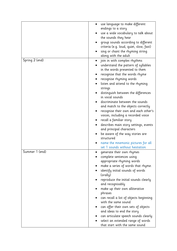|                | use language to make different                                |
|----------------|---------------------------------------------------------------|
|                | endings to a story                                            |
|                | use a wide vocabulary to talk about<br>the sounds they hear   |
|                | group sounds according to different                           |
|                | criteria (e.g. loud, quiet, slow, fast)                       |
|                | sing or chant the rhyming string                              |
|                | along with the adult                                          |
| Spring 2 (end) | join in with complex rhythms                                  |
|                | understand the pattern of syllables                           |
|                | in the words presented to them                                |
|                | recognise that the words rhyme                                |
|                | recognise rhyming words                                       |
|                | listen and attend to the rhyming                              |
|                | strings                                                       |
|                | distinguish between the differences<br>in vocal sounds        |
|                | discriminate between the sounds                               |
|                | and match to the objects correctly                            |
|                | recognise their own and each other's                          |
|                | voices, including a recorded voice                            |
|                | recall a familiar story                                       |
|                | describes main story settings, events                         |
|                | and principal characters                                      |
|                | be aware of the way stories are                               |
|                | structured                                                    |
|                | name the mnemonic pictures for all                            |
|                | set 1 sounds without hesitation                               |
| Summer 1 (end) | generate their own rhymes                                     |
|                | complete sentences using                                      |
|                | appropriate rhyming words                                     |
|                | make a series of words that rhyme.                            |
|                | identify initial sounds of words<br>(orally)                  |
|                | reproduce the initial sounds clearly                          |
|                | and recognisably                                              |
|                | make up their own alliterative                                |
|                | phrases                                                       |
|                | can recall a list of objects beginning<br>with the same sound |
|                | can offer their own sets of objects                           |
|                | and ideas to end the story                                    |
|                | can articulate speech sounds clearly                          |
|                | select an extended range of words                             |
|                | that start with the same sound                                |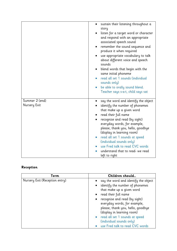| sustain their listening throughout a<br>story<br>listen for a target word or character<br>and respond with an appropriate<br>associated speech sound<br>remember the sound sequence and<br>produce it when required<br>use appropriate vocabulary to talk<br>about different voice and speech<br>sounds<br>blend words that begin with the<br>same initial phoneme<br>read all set 1 sounds (individual<br>sounds only)<br>be able to orally sound blend.<br>Teacher says s-a-t, child says sat |
|-------------------------------------------------------------------------------------------------------------------------------------------------------------------------------------------------------------------------------------------------------------------------------------------------------------------------------------------------------------------------------------------------------------------------------------------------------------------------------------------------|
| say the word and identify the object<br>identify the number of phonemes<br>that make up a given word<br>read their full name<br>recognise and read (by sight)<br>everyday words, for example,<br>please, thank you, hello, goodbye<br>(display in learning room)<br>read all set 1 sounds at speed<br>(individual sounds only)<br>use Fred talk to read CVC words<br>understand that to read- we read                                                                                           |
|                                                                                                                                                                                                                                                                                                                                                                                                                                                                                                 |

### **Reception**

| Term                           | Children should                             |
|--------------------------------|---------------------------------------------|
| Nursery Exit (Reception entry) | say the word and identify the object        |
|                                | identify the number of phonemes             |
|                                | that make up a given word                   |
|                                | read their full name                        |
|                                | recognise and read (by sight)               |
|                                | everyday words, for example,                |
|                                | please, thank you, hello, goodbye           |
|                                | (display in learning room)                  |
|                                | read all set 1 sounds at speed<br>$\bullet$ |
|                                | (individual sounds only)                    |
|                                | use Fred talk to read CVC words             |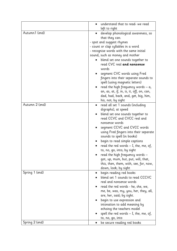|                | understand that to read- we read          |
|----------------|-------------------------------------------|
|                | left to right                             |
| Autumn1 (end)  | develop phonological awareness, so        |
|                | that they can:                            |
|                | - spot and suggest rhymes                 |
|                | - count or clap syllables in a word       |
|                | - recognise words with the same initial   |
|                | sound, such as money and mother           |
|                | blend set one sounds together to          |
|                | read CVC real and nonsense                |
|                | words                                     |
|                | segment CVC words using Fred              |
|                | fingers into their separate sounds to     |
|                | spell (using magnetic letters)            |
|                | read the high frequency words $- a$ ,     |
|                | an, as, at, if, in, is, it, off, on, can, |
|                | dad, had, back, and, get, big, him,       |
|                | his, not; by sight                        |
| Autumn 2 (end) | read all set 1 sounds (including          |
|                | digraphs), at speed                       |
|                | blend set one sounds together to          |
|                | read CCVC and CVCC real and               |
|                | nonsense words                            |
|                | segment CCVC and CVCC words               |
|                | using Fred fingers into their separate    |
|                | sounds to spell (in books)                |
|                | begin to read simple captions             |
|                | read the red words - I, the, me, of,      |
|                | to, no, go, into; by sight                |
|                | read the high frequency words -           |
|                | got, up, mum, but, put, will, that,       |
|                | this, then, them, with, see, for, now,    |
|                | down, look; by sight                      |
| Spring 1 (end) | begin reading red books                   |
|                | blend set 1 sounds to read CCCVC          |
|                | real and nonsense words                   |
|                | read the red words - he, she, we,         |
|                | me, be, was, my, you, her, they, all,     |
|                | are, her, said; by sight.                 |
|                | begin to use expression and               |
|                | intonation to add meaning by              |
|                | echoing the teachers model                |
|                | spell the red words $-$ I, the, me, of,   |
|                | to, no, go, into                          |
| Spring 2 (end) | be secure reading red books               |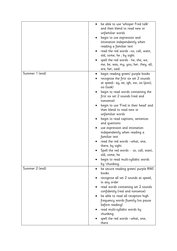|                | be able to use 'whisper Fred talk'<br>$\bullet$        |
|----------------|--------------------------------------------------------|
|                | and then blend to read new or                          |
|                | unfamiliar words                                       |
|                | begin to use expression and                            |
|                | intonation independently when                          |
|                | reading a familiar text                                |
|                | read the red words -so, call, want,                    |
|                | old, some, he ; by sight.                              |
|                | spell the red words - he, she, we,                     |
|                | me, be, was, my, you, her, they, all,                  |
| Summer 1 (end) | are, her, said                                         |
|                | begin reading green/ purple books                      |
|                | recognise the first six set 2 sounds                   |
|                | at speed– ay, ee, igh, ow, oo (poo),<br>oo (look)      |
|                | begin to read words containing the                     |
|                | first six set 2 sounds (real and                       |
|                | nonsense)                                              |
|                | begin to use 'Fred in their head' and                  |
|                | then blend to read new or                              |
|                | unfamiliar words                                       |
|                | begin to read captions, sentences<br>and questions     |
|                | use expression and intonation                          |
|                | independently when reading a                           |
|                | familiar text                                          |
|                | read the red words -what, one,                         |
|                | there; by sight.                                       |
|                | Spell the red words - so, call, want,<br>old, some, he |
|                | begin to read multi-syllabic words                     |
|                | by 'chunking.                                          |
| Summer 2 (end) | be secure reading green/ purple RWI<br>٠<br>books      |
|                | recognise all set 2 sounds at speed,                   |
|                | in any order                                           |
|                | read words containing set 2 sounds                     |
|                | confidently (real and nonsense)                        |
|                | be able to read all reception high                     |
|                | frequency words fluently (no pause                     |
|                | before reading)                                        |
|                | read multi-syllabic words by                           |
|                | chunking                                               |
|                | spell the red words -what, one,                        |
|                | there                                                  |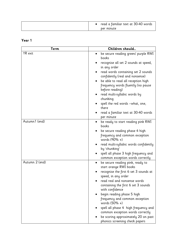| read a familiar text at 30-40 words |
|-------------------------------------|
| per minute                          |

### **Year 1**

| Term           | Children should                                                                             |
|----------------|---------------------------------------------------------------------------------------------|
| YR exit        | be secure reading green/ purple RWI<br>books                                                |
|                | recognise all set 2 sounds at speed,<br>in any order                                        |
|                | read words containing set 2 sounds<br>confidently (real and nonsense)                       |
|                | be able to read all reception high<br>frequency words fluently (no pause<br>before reading) |
|                | read multi-syllabic words by<br>٠<br>chunking                                               |
|                | spell the red words -what, one,<br>there                                                    |
|                | read a familiar text at 30-40 words<br>per minute                                           |
| Autumn1 (end)  | be ready to start reading pink RWI<br>books                                                 |
|                | be secure reading phase 4 high<br>frequency and common exception<br>words (90% +)           |
|                | read multi-syllabic words confidently<br>by 'chunking'                                      |
|                | spell all phase 3 high frequency and<br>common exception words correctly                    |
| Autumn 2 (end) | be secure reading pink, ready to<br>٠<br>start orange RWI books                             |
|                | recognise the first 6 set 3 sounds at<br>speed, in any order                                |
|                | read real and nonsense words<br>containing the first 6 set 3 sounds<br>with confidence      |
|                | begin reading phase 5 high<br>frequency and common exception<br>words (50% +)               |
|                | spell all phase 4 high frequency and<br>common exception words correctly                    |
|                | be scoring approximately 20 on past<br>phonics screening check papers                       |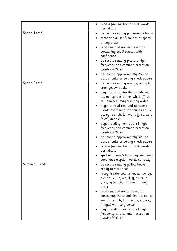|                | read a familiar text at 50+ words                                                                                                                                                                                                                                                                                                                                                                                                                                                                                                                                                                                        |
|----------------|--------------------------------------------------------------------------------------------------------------------------------------------------------------------------------------------------------------------------------------------------------------------------------------------------------------------------------------------------------------------------------------------------------------------------------------------------------------------------------------------------------------------------------------------------------------------------------------------------------------------------|
|                | per minute                                                                                                                                                                                                                                                                                                                                                                                                                                                                                                                                                                                                               |
| Spring 1 (end) | be secure reading pink/orange books<br>recognise all set 3 sounds at speed,<br>in any order<br>read real and non-sense words<br>containing set 3 sounds with<br>confidence<br>be secure reading phase 5 high                                                                                                                                                                                                                                                                                                                                                                                                             |
|                | frequency and common exception<br>words (90% +)                                                                                                                                                                                                                                                                                                                                                                                                                                                                                                                                                                          |
|                | be scoring approximately 25+ on<br>past phonics screening check papers                                                                                                                                                                                                                                                                                                                                                                                                                                                                                                                                                   |
| Spring 2 (end) | be secure reading orange, ready to<br>start yellow books<br>begin to recognise the sounds kn,<br>ue, oe, ey, e-e, ph, ie, wh, ll, ff, ss,<br>zz, c (nice), (magic) in any order<br>begin to read real and nonsense<br>words containing the sounds kn, ue,<br>oe, ey, e-e, ph, ie, wh, ll, ff, ss, zz, c<br>(nice), (magic)<br>begin reading next 200 Y1 high<br>frequency and common exception<br>words (50% +)<br>be scoring approximately 32+ on<br>past phonics screening check papers<br>read a familiar text at 60+ words<br>per minute<br>spell all phase 5 high frequency and<br>common exception words correctly |
| Summer 1 (end) | be secure reading yellow books,<br>ready to start blue<br>recognise the sounds kn, ue, oe, ey,<br>e-e, ph, ie, ue, wh, ll, ff, ss, zz, c<br>(nice), g (magic) at speed, in any<br>order<br>read real and nonsense words<br>containing the sounds kn, ue, oe, ey,<br>e-e, ph, ie, wh, ll, ff, ss, zz, c (nice),<br>(magic) with confidence<br>begin reading next 200 Y1 high<br>frequency and common exception<br>words (80% +)                                                                                                                                                                                           |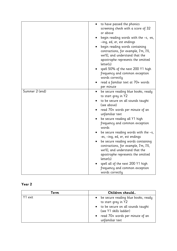|                | to have passed the phonics<br>$\bullet$<br>screening check with a score of 32<br>or above                                                                                                                                                                                                                                                                                                                                                                    |
|----------------|--------------------------------------------------------------------------------------------------------------------------------------------------------------------------------------------------------------------------------------------------------------------------------------------------------------------------------------------------------------------------------------------------------------------------------------------------------------|
|                | begin reading words with the $-s$ , -es,<br>-ing, ed, er, est endings                                                                                                                                                                                                                                                                                                                                                                                        |
|                | begin reading words containing<br>contractions, for example, I'm, I'll,<br>we'll], and understand that the<br>apostrophe represents the omitted<br>letter(s)                                                                                                                                                                                                                                                                                                 |
|                | spell 50% of the next 200 Y1 high<br>frequency and common exception<br>words correctly                                                                                                                                                                                                                                                                                                                                                                       |
|                | read a familiar text at 70+ words<br>per minute                                                                                                                                                                                                                                                                                                                                                                                                              |
| Summer 2 (end) | be secure reading blue books, ready<br>$\bullet$<br>to start grey in Y2<br>to be secure on all sounds taught<br>(see above)<br>read 70+ words per minute of an<br>unfamiliar text<br>be secure reading all Y1 high<br>frequency and common exception<br>words<br>be secure reading words with the $-s$ ,<br>-es, –ing, ed, er, est endings<br>be secure reading words containing<br>contractions, for example, I'm, I'll,<br>we'll], and understand that the |
|                | apostrophe represents the omitted<br>letter(s)<br>spell all of the next 200 Y1 high<br>frequency and common exception<br>words correctly                                                                                                                                                                                                                                                                                                                     |
|                |                                                                                                                                                                                                                                                                                                                                                                                                                                                              |

### **Year 2**

| Children should<br>Term |                                                                                                                               |  |  |
|-------------------------|-------------------------------------------------------------------------------------------------------------------------------|--|--|
| Y1 exit                 | • be secure reading blue books, ready<br>to start grey in Y2<br>• to be secure on all sounds taught<br>(see Y1 skills ladder) |  |  |
|                         | • read 70+ words per minute of an<br>unfamiliar text                                                                          |  |  |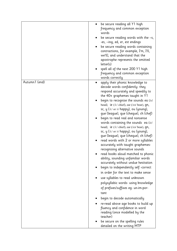|               | be secure reading all Y1 high<br>frequency and common exception<br>words<br>be secure reading words with the $-s$ ,                                                                                                    |
|---------------|------------------------------------------------------------------------------------------------------------------------------------------------------------------------------------------------------------------------|
|               | -es, -ing, ed, er, est endings<br>be secure reading words containing<br>contractions, for example, I'm, I'll,<br>we'll], and understand that the<br>apostrophe represents the omitted                                  |
|               | letter(s)<br>spell all of the next 200 Y1 high<br>frequency and common exception<br>words correctly                                                                                                                    |
| Autumn1 (end) | apply their phonic knowledge to<br>decode words confidently- they<br>respond accurately and speedily to<br>the 40+ graphemes taught in Y1                                                                              |
|               | begin to recognise the sounds ea $( \varepsilon )$<br>head), ie (/i:/ chief), ear (/ɛə/ bear), qn,<br>sc, y (/i:/ or /i/ happy), ou (young),<br>gue (league), que (cheque), ch (chef)                                  |
|               | begin to read real and nonsense<br>words containing the sounds ea $( \varepsilon )$<br>head), ie (/i:/ chief), ear (/ɛə/ bear), qn,<br>sc, y (/i:/ or /i/ happy), ou (young),<br>gue (league), que (cheque), ch (chef) |
|               | read words with 2 or more syllables<br>accurately with taught graphemes-<br>recognising alternative sounds                                                                                                             |
|               | read books aloud matched to phonic<br>ability, sounding unfamiliar words<br>accurately without undue hesitation                                                                                                        |
|               | begin to independently self-correct<br>in order for the text to make sense                                                                                                                                             |
|               | use syllables to read unknown<br>polysyllabic words- using knowledge<br>of prefixes/suffixes eg- un-im-por-<br>tant                                                                                                    |
|               | begin to decode automatically                                                                                                                                                                                          |
|               | re-read above age books to build up<br>fluency and confidence in word<br>reading (once modelled by the<br>teacher)                                                                                                     |
|               | be secure on the spelling rules<br>detailed on the writing MTP                                                                                                                                                         |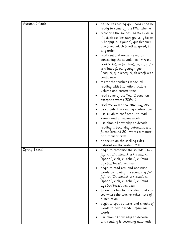| Autumn 2 (end) | be secure reading grey books and be<br>ready to come off the RWI scheme                                                                                                                                                             |
|----------------|-------------------------------------------------------------------------------------------------------------------------------------------------------------------------------------------------------------------------------------|
|                | recognise the sounds ea (/ɛ/ head), ie                                                                                                                                                                                              |
|                | (/i:/ chief), ear (/ $\varepsilon \rightarrow$ / bear), gn, sc, y (/i:/ or<br>/1/ happy), ou (young), gue (league),<br>que (cheque), ch (chef) at speed, in<br>any order                                                            |
|                | read real and nonsense words<br>containing the sounds ea $( \varepsilon )$ head),<br>ie (/i:/ chief), ear (/ɛə/ bear), $qn$ , sc, y (/i:/<br>or /1/ happy), ou (young), gue<br>(league), que (cheque), ch (chef) with<br>confidence |
|                | mirror the teacher's modelled<br>reading with intonation, actions,                                                                                                                                                                  |
|                | volume and correct tone<br>read some of the Year 2 common                                                                                                                                                                           |
|                | exception words (50%+)                                                                                                                                                                                                              |
|                | read words with common suffixes<br>be confident in reading contractions                                                                                                                                                             |
|                | use syllables confidently to read                                                                                                                                                                                                   |
|                | known and unknown words                                                                                                                                                                                                             |
|                | use phonic knowledge to decode-<br>reading is becoming automatic and<br>fluent (around 80+ words a minute<br>of a familiar text)                                                                                                    |
|                | be secure on the spelling rules<br>detailed on the writing MTP                                                                                                                                                                      |
| Spring 1 (end) | begin to recognise the sounds $y \text{ (}'\text{au}$<br>fly), ch (Christmas), ss (tissue), ci                                                                                                                                      |
|                | (special), eigh, ey (obey), ei (rein)<br>dge (/d3/ badge), tion, tious                                                                                                                                                              |
|                | begin to read real and nonsense                                                                                                                                                                                                     |
|                | words containing the sounds $y \text{ (}'\text{au}$                                                                                                                                                                                 |
|                | fly), ch (Christmas), ss (tissue), ci                                                                                                                                                                                               |
|                | (special), eigh, ey (obey), ei (rein)<br>dge (/d3/ badge), tion, tious                                                                                                                                                              |
|                | follow the teacher's reading and can<br>see where the teacher takes note of                                                                                                                                                         |
|                | punctuation                                                                                                                                                                                                                         |
|                | begin to spot patterns and chunks of<br>words to help decode unfamiliar<br>words                                                                                                                                                    |
|                | use phonic knowledge to decode-                                                                                                                                                                                                     |
|                | and reading is becoming automatic                                                                                                                                                                                                   |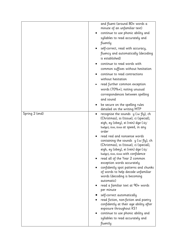|                | and fluent (around 80+ words a<br>minute of an unfamiliar text)<br>continue to use phonic ability and<br>syllables to read accurately and<br>fluently<br>self-correct, read with accuracy,<br>fluency and automatically (decoding<br>is established)                                                                                                                 |
|----------------|----------------------------------------------------------------------------------------------------------------------------------------------------------------------------------------------------------------------------------------------------------------------------------------------------------------------------------------------------------------------|
|                | continue to read words with<br>common suffixes without hesitation<br>continue to read contractions<br>without hesitation<br>read further common exception<br>words (70%+), noting unusual<br>correspondences between spelling<br>and sound                                                                                                                           |
| Spring 2 (end) | be secure on the spelling rules<br>detailed on the writing MTP<br>recognise the sounds $y$ $\sqrt{a}$ $\frac{1}{2}$ $\sqrt{b}$ $\sqrt{c}$ $\sqrt{c}$<br>(Christmas), ss (tissue), ci (special),<br>eigh, ey (obey), ei (rein) dge (/d3/<br>badge), tion, tious at speed, in any<br>order<br>read real and nonsense words<br>containing the sounds $y$ (/ai/ fly), ch |
|                | (Christmas), ss (tissue), ci (special),<br>eigh, ey (obey), ei (rein) dge (/d3/<br>badge), tion, tious with confidence<br>read all of the Year 2 common<br>exception words accurately<br>confidently spot patterns and chunks<br>of words to help decode unfamiliar<br>words (decoding is becoming<br>automatic)                                                     |
|                | read a familiar text at 90+ words<br>per minute<br>self-correct automatically<br>read fiction, non-fiction and poetry<br>confidently at their age ability after<br>exposure throughout KS1<br>continue to use phonic ability and<br>syllables to read accurately and<br>fluently                                                                                     |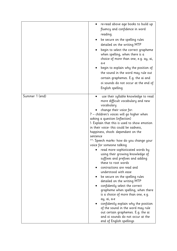|                | re-read above age books to build up<br>fluency and confidence in word<br>reading.<br>be secure on the spelling rules<br>detailed on the writing MTP<br>begin to select the correct grapheme<br>when spelling, when there is a<br>choice of more than one, e.g. ay, ai,<br>a-e<br>begin to explain why the position of<br>the sound in the word may rule out<br>certain graphemes. E.g. the ai and<br>oi sounds do not occur at the end of<br>English spelling                                                                                                                                                                                                                                                                                                                                                                                                                                                                                                                                     |
|----------------|---------------------------------------------------------------------------------------------------------------------------------------------------------------------------------------------------------------------------------------------------------------------------------------------------------------------------------------------------------------------------------------------------------------------------------------------------------------------------------------------------------------------------------------------------------------------------------------------------------------------------------------------------------------------------------------------------------------------------------------------------------------------------------------------------------------------------------------------------------------------------------------------------------------------------------------------------------------------------------------------------|
| Summer 1 (end) | use their syllable knowledge to read<br>more difficult vocabulary and new<br>vocabulary<br>change their voice for:<br>? - children's voices will go higher when<br>asking a question (inflection)<br>!- Explain that this is used to show emotion<br>in their voice- this could be sadness,<br>happiness, shock- dependant on the<br>sentence<br>""- Speech marks- how do you change your<br>voice for someone talking<br>read more sophisticated words by<br>using their growing knowledge of<br>suffixes and prefixes and adding<br>these to root words<br>contractions are read and<br>understood with ease<br>be secure on the spelling rules<br>detailed on the writing MTP<br>confidently select the correct<br>grapheme when spelling, when there<br>is a choice of more than one, e.g.<br>ay, ai, a-e<br>confidently explain why the position<br>of the sound in the word may rule<br>out certain graphemes. E.g. the ai<br>and oi sounds do not occur at the<br>end of English spellings |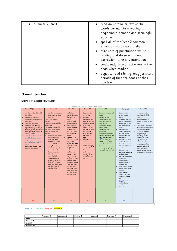| • Summer 2 (end)               | read an unfamiliar text at 90+                                                                    |
|--------------------------------|---------------------------------------------------------------------------------------------------|
|                                | words per minute - reading is                                                                     |
|                                | beginning automatic and seemingly<br>effortless                                                   |
|                                | spell all of the Year 2 common<br>exception words accurately                                      |
|                                | take note of punctuation whilst<br>reading and do so with good<br>expression, tone and intonation |
|                                | confidently self-correct errors in their<br>head when reading                                     |
|                                | begin to read silently- only for short<br>periods of time for books at their<br>age level         |
| Overall tracker                |                                                                                                   |
|                                |                                                                                                   |
| Example of a Reception tracker |                                                                                                   |

### **Overall tracker**

| <b>Below ARE (Nurzery exis)</b><br>say the word and identify<br>the object<br>· identify the number of<br>phonemes that make up a<br>given word.<br>read their full name<br>recognise and read (by<br>sight) everyday words, for<br>example, please, thank you,<br>hello, goodbye (display in<br>learning room) | <b>Below ARE</b><br>develop phonological<br>$\bullet$<br>awareness, so that<br>they can:<br>- spot and suggest<br>rhumes<br>- count or clap sullables<br>in a word<br>- recognize words with<br>the same initial sound.<br>such as money and                                                                                                                          | <b>Balow ARE</b><br>read all set 1<br>$\bullet$<br>sounds lincluding<br>digraphs) at<br>speed<br>begin to read<br>simple captions<br>· blend set one<br>sounds together<br>to read CCVC                                                                                                                                                                                                           | <b>Bolow ARE</b><br>begin reading<br>red books<br>blend set 1<br>$\bullet$<br>sounds to read.<br>CCCVC real and<br>nonsense words<br>read the red<br>words - he, she,                                                                                  | ARE<br>be secure reading red.<br>books<br>be able to use.<br>$\bullet$<br>'whisper Fred talk'<br>and then blend to<br>read new or<br>unfamiliar words                                                                                                                            | Above ARE<br>· begin reading<br>green/ purple<br>books<br>• recognise the first<br>six set 2 sounds at<br>speed- ay, eg, igh,                                                                                                                                                                                                                                                                                                                                                                                                                                              | <b>Above ARE</b><br>be secure reading<br>٠<br>green/ purple RWI<br>books<br>· recognise all set 2<br>sounds at speed, in any<br>order                                                                                                                                                                                                   |
|-----------------------------------------------------------------------------------------------------------------------------------------------------------------------------------------------------------------------------------------------------------------------------------------------------------------|-----------------------------------------------------------------------------------------------------------------------------------------------------------------------------------------------------------------------------------------------------------------------------------------------------------------------------------------------------------------------|---------------------------------------------------------------------------------------------------------------------------------------------------------------------------------------------------------------------------------------------------------------------------------------------------------------------------------------------------------------------------------------------------|--------------------------------------------------------------------------------------------------------------------------------------------------------------------------------------------------------------------------------------------------------|----------------------------------------------------------------------------------------------------------------------------------------------------------------------------------------------------------------------------------------------------------------------------------|----------------------------------------------------------------------------------------------------------------------------------------------------------------------------------------------------------------------------------------------------------------------------------------------------------------------------------------------------------------------------------------------------------------------------------------------------------------------------------------------------------------------------------------------------------------------------|-----------------------------------------------------------------------------------------------------------------------------------------------------------------------------------------------------------------------------------------------------------------------------------------------------------------------------------------|
|                                                                                                                                                                                                                                                                                                                 |                                                                                                                                                                                                                                                                                                                                                                       |                                                                                                                                                                                                                                                                                                                                                                                                   |                                                                                                                                                                                                                                                        |                                                                                                                                                                                                                                                                                  |                                                                                                                                                                                                                                                                                                                                                                                                                                                                                                                                                                            |                                                                                                                                                                                                                                                                                                                                         |
| · read all set 1 sounds at<br>speed (individual sounds)<br>onlu)<br>use Fred talk to read CVC<br>$\bullet$<br>words<br>understand that to read-<br>we read left to right                                                                                                                                        | mother<br>· blend set one sounds<br>together to read<br>CVC real and<br>nonsense words<br>· segment CVC words<br>using Fred fingers<br>into their separate<br>sounds to spell<br>lusing magnetic<br>letters)<br>· read the high<br>frequency words -<br>a, an, as, at, if in,<br>is, it, off on, can,<br>dad, had, back, and,<br>get, big, him, his,<br>not; by sight | and CVCC real<br>and nonsense.<br>words<br>· seament CCVC<br>and CVCC words<br>using Fred<br>fingers into their<br>separate sounds<br>to spell lin<br>books)<br>· read the red<br>words $-1$ the.<br>me, of to, no,<br>go, into: by sight<br>· read the high<br>frequency words<br>- got, up, mum,<br>but, put, will,<br>that this then.<br>them, with, see,<br>for, now, down,<br>look; by sight | we, me, be, was,<br>my, you, her,<br>they, all, are,<br>her, said; by<br>sight.<br>begin to use<br>expression and<br>intonation to<br>add meaning by<br>echoing the<br>teachers model<br>spell the red<br>words $-1$ the<br>me, of to, no,<br>go, into | · begin to use<br>expression and<br>intonation<br>independently when<br>reading a familiar text<br>. read the red words -<br>so, call, want, old.<br>some, he ; by sight.<br>. spell the red words -<br>he, she, we, me, be,<br>was, my, you, her,<br>they, all, are, her, said. | ow, pp (poo), pp.<br>$0$ ook)<br>begin to read<br>words containing<br>the first six set 2<br>sounds (real and<br>nonsensel<br>· begin to use 'Fred<br>in their head' and<br>then blend to read.<br>new or unfamiliar<br>words<br>· begin to read<br>captions, sentences<br>and questions<br>use expression and<br>intonation<br>independently<br>when reading a<br>familiar text<br>· read the red words<br>-what, one, there;<br>by sight.<br>· Spell the red<br>words - so, call.<br>want old some.<br>he<br>· begin to read<br>multi-sullabic<br>words bu<br>'chunking. | · Read words containing<br>set 2 sounds confidently<br>(real and nonsense)<br>. be able to read all<br>reception high<br>frequency words<br>fuently (no pause<br>before reading)<br>· read multi-sullabic<br>words by chunking<br>spell the red words -<br>٠<br>what, one, there<br>· read a familiar text at<br>SO-40 words per minute |
|                                                                                                                                                                                                                                                                                                                 |                                                                                                                                                                                                                                                                                                                                                                       |                                                                                                                                                                                                                                                                                                                                                                                                   |                                                                                                                                                                                                                                                        |                                                                                                                                                                                                                                                                                  |                                                                                                                                                                                                                                                                                                                                                                                                                                                                                                                                                                            |                                                                                                                                                                                                                                                                                                                                         |
| 96                                                                                                                                                                                                                                                                                                              | %                                                                                                                                                                                                                                                                                                                                                                     | %                                                                                                                                                                                                                                                                                                                                                                                                 | 96                                                                                                                                                                                                                                                     | 96                                                                                                                                                                                                                                                                               | %                                                                                                                                                                                                                                                                                                                                                                                                                                                                                                                                                                          |                                                                                                                                                                                                                                                                                                                                         |

#### Group  $1 -$  Group  $2 -$  Group  $3 -$  Group  $4 -$

|                  | Autumn 1 | Autumn 2 | Spring 1 | Spring 2 | Summer 1 | Summer 2 |
|------------------|----------|----------|----------|----------|----------|----------|
| ARE+             |          |          |          |          |          |          |
| Above ARE        |          |          |          |          |          |          |
| At ARE           |          |          |          |          |          |          |
| <b>Below ARE</b> |          |          |          |          |          |          |